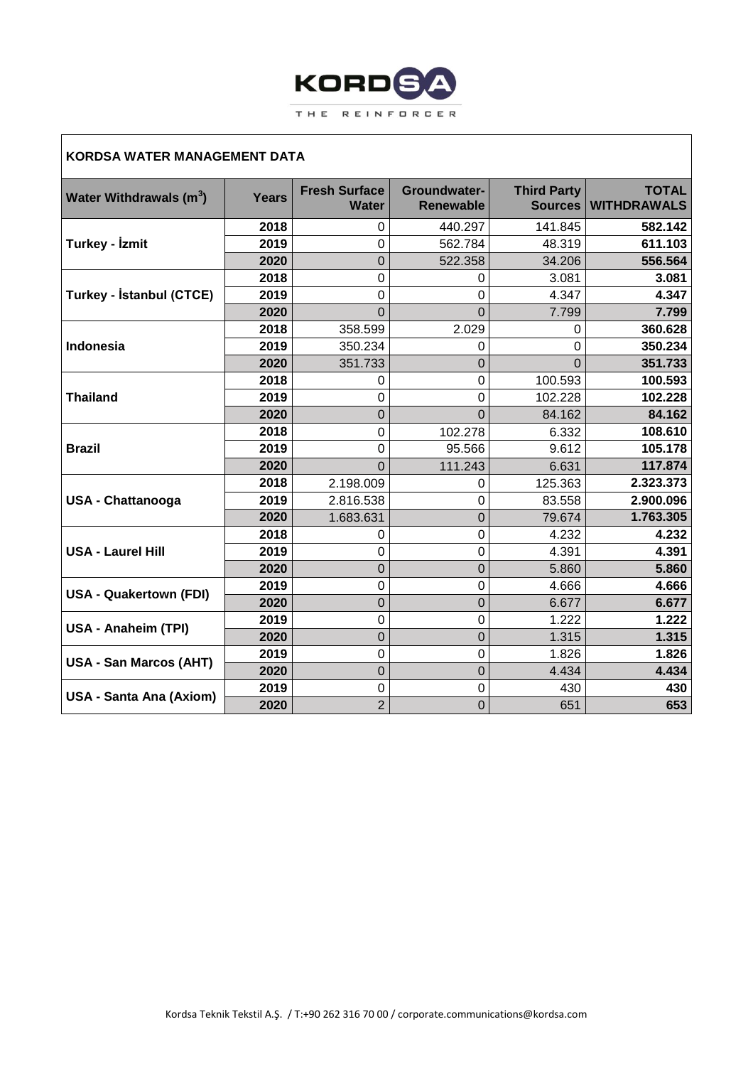

## **KORDSA WATER MANAGEMENT DATA**

| Water Withdrawals (m <sup>3</sup> ) | <b>Years</b> | <b>Fresh Surface</b><br><b>Water</b> | Groundwater-<br><b>Renewable</b> | <b>Third Party</b><br><b>Sources</b> | <b>TOTAL</b><br><b>WITHDRAWALS</b> |
|-------------------------------------|--------------|--------------------------------------|----------------------------------|--------------------------------------|------------------------------------|
| Turkey - İzmit                      | 2018         | 0                                    | 440.297                          | 141.845                              | 582.142                            |
|                                     | 2019         | 0                                    | 562.784                          | 48.319                               | 611.103                            |
|                                     | 2020         | 0                                    | 522.358                          | 34.206                               | 556.564                            |
| Turkey - İstanbul (CTCE)            | 2018         | 0                                    | 0                                | 3.081                                | 3.081                              |
|                                     | 2019         | 0                                    | 0                                | 4.347                                | 4.347                              |
|                                     | 2020         | $\Omega$                             | $\Omega$                         | 7.799                                | 7.799                              |
|                                     | 2018         | 358.599                              | 2.029                            | 0                                    | 360.628                            |
| Indonesia                           | 2019         | 350.234                              | 0                                | 0                                    | 350.234                            |
|                                     | 2020         | 351.733                              | $\Omega$                         | $\Omega$                             | 351.733                            |
|                                     | 2018         | 0                                    | 0                                | 100.593                              | 100.593                            |
| <b>Thailand</b>                     | 2019         | 0                                    | 0                                | 102.228                              | 102.228                            |
|                                     | 2020         | $\overline{0}$                       | $\overline{0}$                   | 84.162                               | 84.162                             |
| <b>Brazil</b>                       | 2018         | 0                                    | 102.278                          | 6.332                                | 108.610                            |
|                                     | 2019         | 0                                    | 95.566                           | 9.612                                | 105.178                            |
|                                     | 2020         | $\Omega$                             | 111.243                          | 6.631                                | 117.874                            |
| <b>USA - Chattanooga</b>            | 2018         | 2.198.009                            | 0                                | 125.363                              | 2.323.373                          |
|                                     | 2019         | 2.816.538                            | $\Omega$                         | 83.558                               | 2.900.096                          |
|                                     | 2020         | 1.683.631                            | $\Omega$                         | 79.674                               | 1.763.305                          |
|                                     | 2018         | 0                                    | 0                                | 4.232                                | 4.232                              |
| <b>USA - Laurel Hill</b>            | 2019         | 0                                    | 0                                | 4.391                                | 4.391                              |
|                                     | 2020         | 0                                    | $\Omega$                         | 5.860                                | 5.860                              |
| <b>USA - Quakertown (FDI)</b>       | 2019         | 0                                    | 0                                | 4.666                                | 4.666                              |
|                                     | 2020         | $\overline{0}$                       | $\mathbf 0$                      | 6.677                                | 6.677                              |
| USA - Anaheim (TPI)                 | 2019         | 0                                    | $\overline{0}$                   | 1.222                                | 1.222                              |
|                                     | 2020         | 0                                    | $\mathbf 0$                      | 1.315                                | 1.315                              |
| <b>USA - San Marcos (AHT)</b>       | 2019         | 0                                    | 0                                | 1.826                                | 1.826                              |
|                                     | 2020         | 0                                    | $\mathbf 0$                      | 4.434                                | 4.434                              |
| <b>USA - Santa Ana (Axiom)</b>      | 2019         | 0                                    | 0                                | 430                                  | 430                                |
|                                     | 2020         | $\overline{2}$                       | $\overline{0}$                   | 651                                  | 653                                |